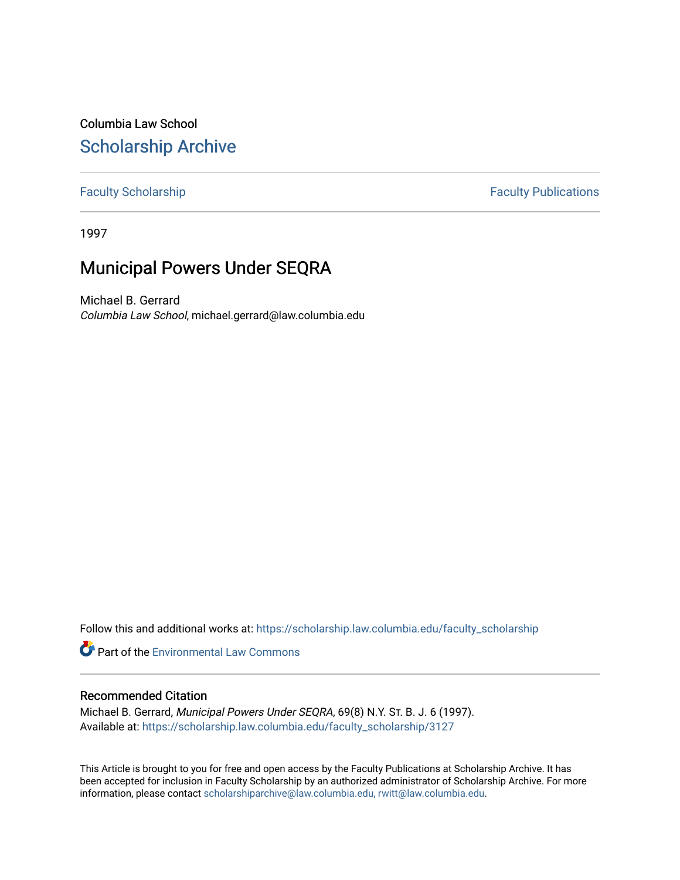Columbia Law School [Scholarship Archive](https://scholarship.law.columbia.edu/) 

#### [Faculty Scholarship](https://scholarship.law.columbia.edu/faculty_scholarship) **Faculty Publications**

1997

# Municipal Powers Under SEQRA

Michael B. Gerrard Columbia Law School, michael.gerrard@law.columbia.edu

Follow this and additional works at: [https://scholarship.law.columbia.edu/faculty\\_scholarship](https://scholarship.law.columbia.edu/faculty_scholarship?utm_source=scholarship.law.columbia.edu%2Ffaculty_scholarship%2F3127&utm_medium=PDF&utm_campaign=PDFCoverPages)

**Part of the [Environmental Law Commons](http://network.bepress.com/hgg/discipline/599?utm_source=scholarship.law.columbia.edu%2Ffaculty_scholarship%2F3127&utm_medium=PDF&utm_campaign=PDFCoverPages)** 

#### Recommended Citation

Michael B. Gerrard, Municipal Powers Under SEQRA, 69(8) N.Y. ST. B. J. 6 (1997). Available at: [https://scholarship.law.columbia.edu/faculty\\_scholarship/3127](https://scholarship.law.columbia.edu/faculty_scholarship/3127?utm_source=scholarship.law.columbia.edu%2Ffaculty_scholarship%2F3127&utm_medium=PDF&utm_campaign=PDFCoverPages)

This Article is brought to you for free and open access by the Faculty Publications at Scholarship Archive. It has been accepted for inclusion in Faculty Scholarship by an authorized administrator of Scholarship Archive. For more information, please contact [scholarshiparchive@law.columbia.edu, rwitt@law.columbia.edu](mailto:scholarshiparchive@law.columbia.edu,%20rwitt@law.columbia.edu).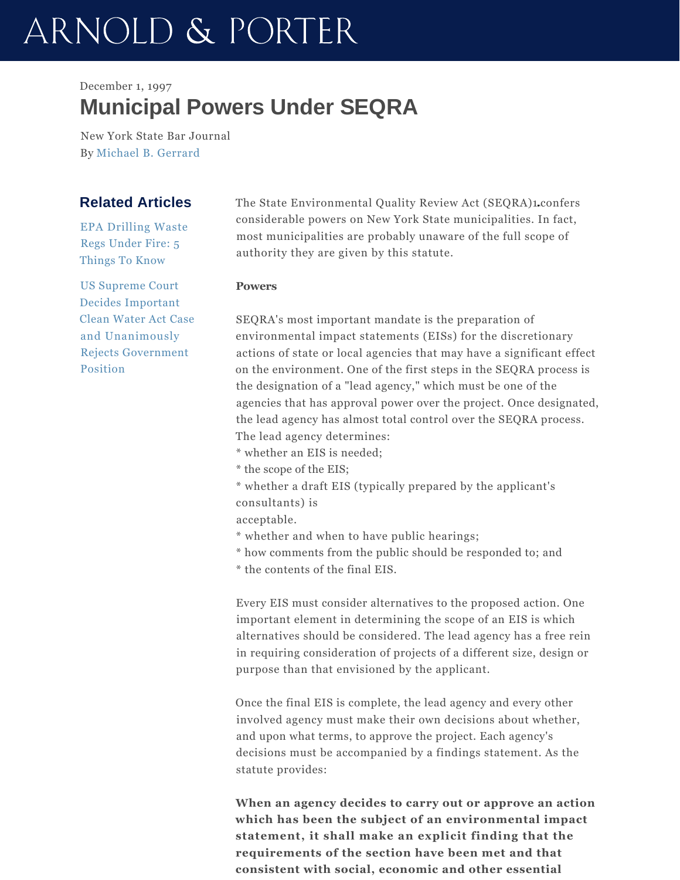# ARNOLD & PORTER

# December 1, 1997 **Municipal Powers Under SEQRA**

New York State Bar Journal By Michael B. Gerrard

## **Related Articles**

EPA Drilling Waste Regs Under Fire: 5 Things To Know

US Supreme Court Decides Important Clean Water Act Case and Unanimously Rejects Government Position

The State Environmental Quality Review Act (SEQRA)1 confers considerable powers on New York State municipalities. In fact, most municipalities are probably unaware of the full scope of authority they are given by this statute.

#### **Powers**

SEQRA's most important mandate is the preparation of environmental impact statements (EISs) for the discretionary actions of state or local agencies that may have a significant effect on the environment. One of the first steps in the SEQRA process is the designation of a "lead agency," which must be one of the agencies that has approval power over the project. Once designated, the lead agency has almost total control over the SEQRA process. The lead agency determines:

\* whether an EIS is needed;

- \* the scope of the EIS;
- \* whether a draft EIS (typically prepared by the applicant's consultants) is

acceptable.

- \* whether and when to have public hearings;
- \* how comments from the public should be responded to; and

\* the contents of the final EIS.

Every EIS must consider alternatives to the proposed action. One important element in determining the scope of an EIS is which alternatives should be considered. The lead agency has a free rein in requiring consideration of projects of a different size, design or purpose than that envisioned by the applicant.

Once the final EIS is complete, the lead agency and every other involved agency must make their own decisions about whether, and upon what terms, to approve the project. Each agency's decisions must be accompanied by a findings statement. As the statute provides:

**When an agency decides to carry out or approve an action which has been the subject of an environmental impact statement, it shall make an explicit finding that the requirements of the section have been met and that consistent with social, economic and other essential**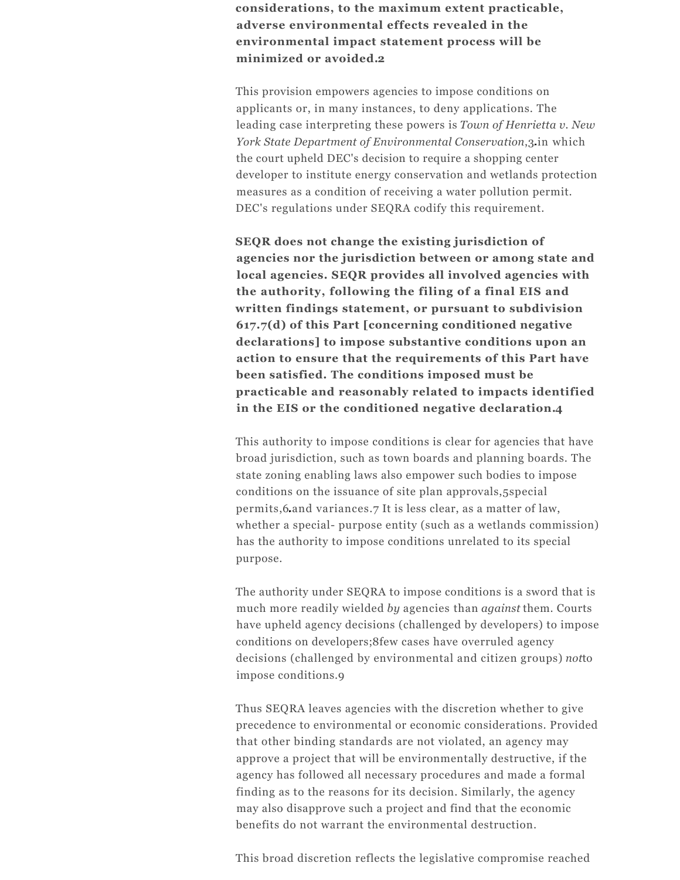**considerations, to the maximum extent practicable, adverse environmental effects revealed in the environmental impact statement process will be minimized or avoided.2**

This provision empowers agencies to impose conditions on applicants or, in many instances, to deny applications. The leading case interpreting these powers is *Town of Henrietta v. New York State Department of Environmental Conservation*,3 in which the court upheld DEC's decision to require a shopping center developer to institute energy conservation and wetlands protection measures as a condition of receiving a water pollution permit. DEC's regulations under SEQRA codify this requirement.

**SEQR does not change the existing jurisdiction of agencies nor the jurisdiction between or among state and local agencies. SEQR provides all involved agencies with the authority, following the filing of a final EIS and written findings statement, or pursuant to subdivision 617.7(d) of this Part [concerning conditioned negative declarations] to impose substantive conditions upon an action to ensure that the requirements of this Part have been satisfied. The conditions imposed must be practicable and reasonably related to impacts identified in the EIS or the conditioned negative declaration.4**

This authority to impose conditions is clear for agencies that have broad jurisdiction, such as town boards and planning boards. The state zoning enabling laws also empower such bodies to impose conditions on the issuance of site plan approvals,5special permits,6 and variances.7 It is less clear, as a matter of law, whether a special- purpose entity (such as a wetlands commission) has the authority to impose conditions unrelated to its special purpose.

The authority under SEQRA to impose conditions is a sword that is much more readily wielded *by* agencies than *against* them. Courts have upheld agency decisions (challenged by developers) to impose conditions on developers;8few cases have overruled agency decisions (challenged by environmental and citizen groups) *not*to impose conditions.9

Thus SEQRA leaves agencies with the discretion whether to give precedence to environmental or economic considerations. Provided that other binding standards are not violated, an agency may approve a project that will be environmentally destructive, if the agency has followed all necessary procedures and made a formal finding as to the reasons for its decision. Similarly, the agency may also disapprove such a project and find that the economic benefits do not warrant the environmental destruction.

This broad discretion reflects the legislative compromise reached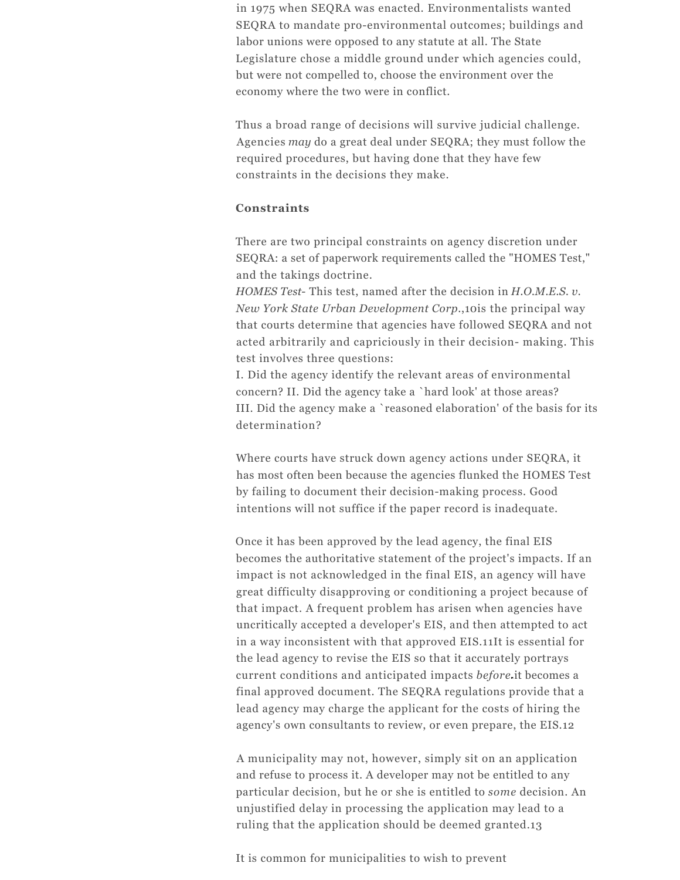in 1975 when SEQRA was enacted. Environmentalists wanted SEQRA to mandate pro-environmental outcomes; buildings and labor unions were opposed to any statute at all. The State Legislature chose a middle ground under which agencies could, but were not compelled to, choose the environment over the economy where the two were in conflict.

Thus a broad range of decisions will survive judicial challenge. Agencies *may* do a great deal under SEQRA; they must follow the required procedures, but having done that they have few constraints in the decisions they make.

#### **Constraints**

There are two principal constraints on agency discretion under SEQRA: a set of paperwork requirements called the "HOMES Test," and the takings doctrine.

*HOMES Test*- This test, named after the decision in *H.O.M.E.S. v. New York State Urban Development Corp*.,10is the principal way that courts determine that agencies have followed SEQRA and not acted arbitrarily and capriciously in their decision- making. This test involves three questions:

I. Did the agency identify the relevant areas of environmental concern? II. Did the agency take a `hard look' at those areas? III. Did the agency make a `reasoned elaboration' of the basis for its determination?

Where courts have struck down agency actions under SEQRA, it has most often been because the agencies flunked the HOMES Test by failing to document their decision-making process. Good intentions will not suffice if the paper record is inadequate.

Once it has been approved by the lead agency, the final EIS becomes the authoritative statement of the project's impacts. If an impact is not acknowledged in the final EIS, an agency will have great difficulty disapproving or conditioning a project because of that impact. A frequent problem has arisen when agencies have uncritically accepted a developer's EIS, and then attempted to act in a way inconsistent with that approved EIS.11It is essential for the lead agency to revise the EIS so that it accurately portrays current conditions and anticipated impacts *before* it becomes a final approved document. The SEQRA regulations provide that a lead agency may charge the applicant for the costs of hiring the agency's own consultants to review, or even prepare, the EIS.12

A municipality may not, however, simply sit on an application and refuse to process it. A developer may not be entitled to any particular decision, but he or she is entitled to *some* decision. An unjustified delay in processing the application may lead to a ruling that the application should be deemed granted.13

It is common for municipalities to wish to prevent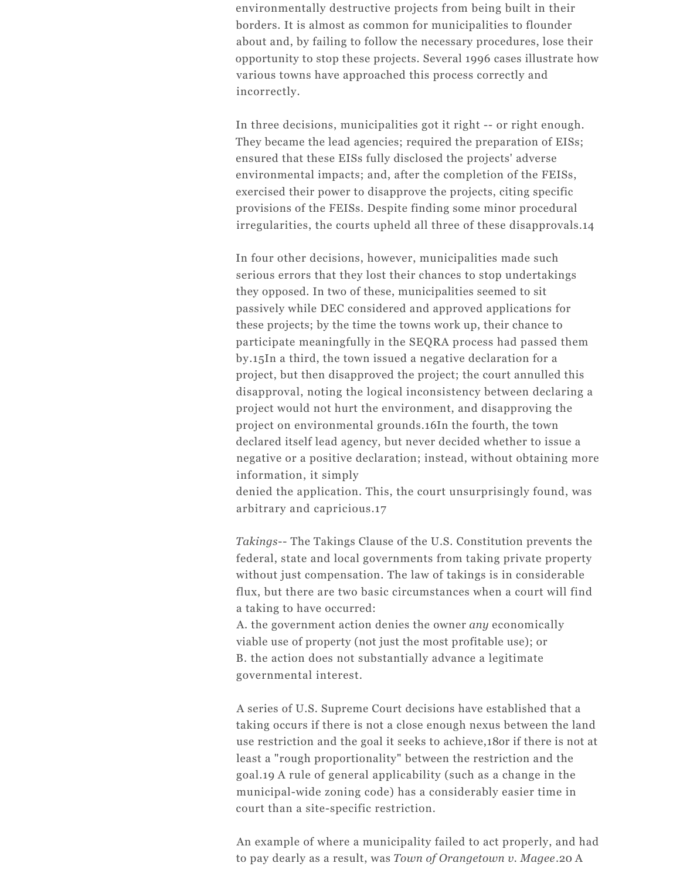environmentally destructive projects from being built in their borders. It is almost as common for municipalities to flounder about and, by failing to follow the necessary procedures, lose their opportunity to stop these projects. Several 1996 cases illustrate how various towns have approached this process correctly and incorrectly.

In three decisions, municipalities got it right -- or right enough. They became the lead agencies; required the preparation of EISs; ensured that these EISs fully disclosed the projects' adverse environmental impacts; and, after the completion of the FEISs, exercised their power to disapprove the projects, citing specific provisions of the FEISs. Despite finding some minor procedural irregularities, the courts upheld all three of these disapprovals.14

In four other decisions, however, municipalities made such serious errors that they lost their chances to stop undertakings they opposed. In two of these, municipalities seemed to sit passively while DEC considered and approved applications for these projects; by the time the towns work up, their chance to participate meaningfully in the SEQRA process had passed them by.15In a third, the town issued a negative declaration for a project, but then disapproved the project; the court annulled this disapproval, noting the logical inconsistency between declaring a project would not hurt the environment, and disapproving the project on environmental grounds.16In the fourth, the town declared itself lead agency, but never decided whether to issue a negative or a positive declaration; instead, without obtaining more information, it simply

denied the application. This, the court unsurprisingly found, was arbitrary and capricious.17

*Takings*-- The Takings Clause of the U.S. Constitution prevents the federal, state and local governments from taking private property without just compensation. The law of takings is in considerable flux, but there are two basic circumstances when a court will find a taking to have occurred:

A. the government action denies the owner *any* economically viable use of property (not just the most profitable use); or B. the action does not substantially advance a legitimate governmental interest.

A series of U.S. Supreme Court decisions have established that a taking occurs if there is not a close enough nexus between the land use restriction and the goal it seeks to achieve,18or if there is not at least a "rough proportionality" between the restriction and the goal.19 A rule of general applicability (such as a change in the municipal-wide zoning code) has a considerably easier time in court than a site-specific restriction.

An example of where a municipality failed to act properly, and had to pay dearly as a result, was *Town of Orangetown v. Magee*.20 A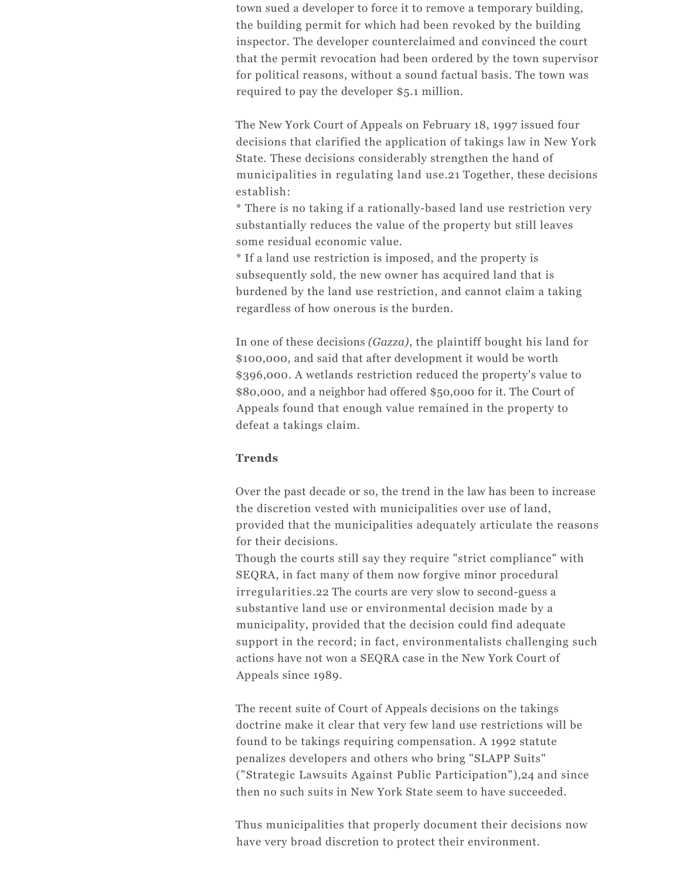town sued a developer to force it to remove a temporary building, the building permit for which had been revoked by the building inspector. The developer counterclaimed and convinced the court that the permit revocation had been ordered by the town supervisor for political reasons, without a sound factual basis. The town was required to pay the developer \$5.1 million.

The New York Court of Appeals on February 18, 1997 issued four decisions that clarified the application of takings law in New York State. These decisions considerably strengthen the hand of municipalities in regulating land use.21 Together, these decisions establish:

\* There is no taking if a rationally-based land use restriction very substantially reduces the value of the property but still leaves some residual economic value.

\* If a land use restriction is imposed, and the property is subsequently sold, the new owner has acquired land that is burdened by the land use restriction, and cannot claim a taking regardless of how onerous is the burden.

In one of these decisions *(Gazza)*, the plaintiff bought his land for \$100,000, and said that after development it would be worth \$396,000. A wetlands restriction reduced the property's value to \$80,000, and a neighbor had offered \$50,000 for it. The Court of Appeals found that enough value remained in the property to defeat a takings claim.

#### **Trends**

Over the past decade or so, the trend in the law has been to increase the discretion vested with municipalities over use of land, provided that the municipalities adequately articulate the reasons for their decisions.

Though the courts still say they require "strict compliance" with SEQRA, in fact many of them now forgive minor procedural irregularities.22 The courts are very slow to second-guess a substantive land use or environmental decision made by a municipality, provided that the decision could find adequate support in the record; in fact, environmentalists challenging such actions have not won a SEQRA case in the New York Court of Appeals since 1989.

The recent suite of Court of Appeals decisions on the takings doctrine make it clear that very few land use restrictions will be found to be takings requiring compensation. A 1992 statute penalizes developers and others who bring "SLAPP Suits" ("Strategic Lawsuits Against Public Participation"),24 and since then no such suits in New York State seem to have succeeded.

Thus municipalities that properly document their decisions now have very broad discretion to protect their environment.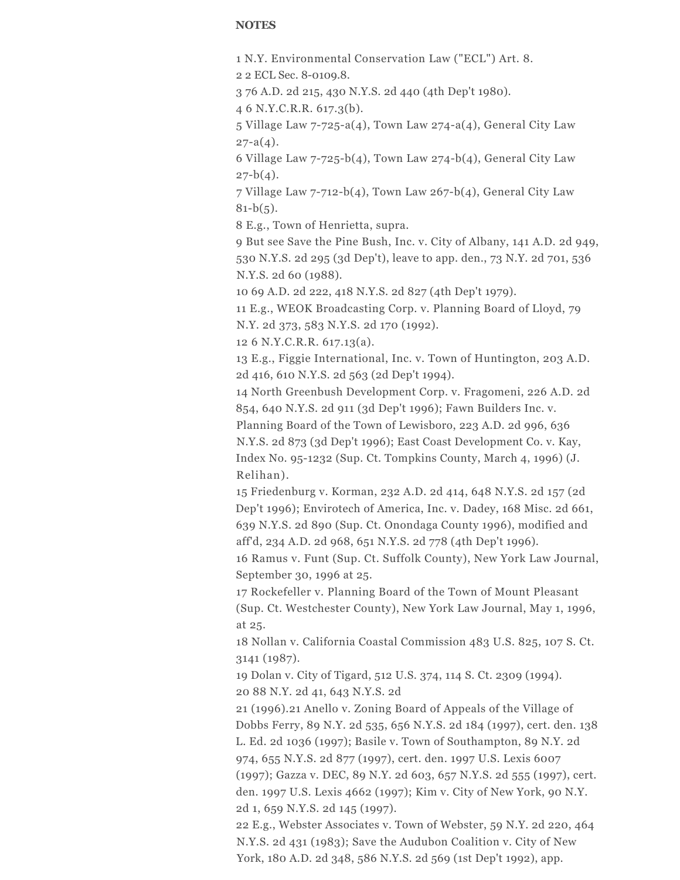#### **NOTES**

1 N.Y. Environmental Conservation Law ("ECL") Art. 8.

2 2 ECL Sec. 8-0109.8.

3 76 A.D. 2d 215, 430 N.Y.S. 2d 440 (4th Dep't 1980).

4 6 N.Y.C.R.R. 617.3(b).

5 Village Law 7-725-a(4), Town Law 274-a(4), General City Law  $27 - a(4)$ .

6 Village Law 7-725-b(4), Town Law 274-b(4), General City Law  $27-b(4)$ .

7 Village Law 7-712-b(4), Town Law 267-b(4), General City Law  $81-b(5)$ .

8 E.g., Town of Henrietta, supra.

9 But see Save the Pine Bush, Inc. v. City of Albany, 141 A.D. 2d 949, 530 N.Y.S. 2d 295 (3d Dep't), leave to app. den., 73 N.Y. 2d 701, 536 N.Y.S. 2d 60 (1988).

10 69 A.D. 2d 222, 418 N.Y.S. 2d 827 (4th Dep't 1979).

11 E.g., WEOK Broadcasting Corp. v. Planning Board of Lloyd, 79 N.Y. 2d 373, 583 N.Y.S. 2d 170 (1992).

12 6 N.Y.C.R.R. 617.13(a).

13 E.g., Figgie International, Inc. v. Town of Huntington, 203 A.D. 2d 416, 610 N.Y.S. 2d 563 (2d Dep't 1994).

14 North Greenbush Development Corp. v. Fragomeni, 226 A.D. 2d 854, 640 N.Y.S. 2d 911 (3d Dep't 1996); Fawn Builders Inc. v.

Planning Board of the Town of Lewisboro, 223 A.D. 2d 996, 636 N.Y.S. 2d 873 (3d Dep't 1996); East Coast Development Co. v. Kay,

Index No. 95-1232 (Sup. Ct. Tompkins County, March 4, 1996) (J. Relihan).

15 Friedenburg v. Korman, 232 A.D. 2d 414, 648 N.Y.S. 2d 157 (2d Dep't 1996); Envirotech of America, Inc. v. Dadey, 168 Misc. 2d 661, 639 N.Y.S. 2d 890 (Sup. Ct. Onondaga County 1996), modified and aff'd, 234 A.D. 2d 968, 651 N.Y.S. 2d 778 (4th Dep't 1996).

16 Ramus v. Funt (Sup. Ct. Suffolk County), New York Law Journal, September 30, 1996 at 25.

17 Rockefeller v. Planning Board of the Town of Mount Pleasant (Sup. Ct. Westchester County), New York Law Journal, May 1, 1996, at 25.

18 Nollan v. California Coastal Commission 483 U.S. 825, 107 S. Ct. 3141 (1987).

19 Dolan v. City of Tigard, 512 U.S. 374, 114 S. Ct. 2309 (1994). 20 88 N.Y. 2d 41, 643 N.Y.S. 2d

21 (1996).21 Anello v. Zoning Board of Appeals of the Village of Dobbs Ferry, 89 N.Y. 2d 535, 656 N.Y.S. 2d 184 (1997), cert. den. 138 L. Ed. 2d 1036 (1997); Basile v. Town of Southampton, 89 N.Y. 2d 974, 655 N.Y.S. 2d 877 (1997), cert. den. 1997 U.S. Lexis 6007 (1997); Gazza v. DEC, 89 N.Y. 2d 603, 657 N.Y.S. 2d 555 (1997), cert. den. 1997 U.S. Lexis 4662 (1997); Kim v. City of New York, 90 N.Y. 2d 1, 659 N.Y.S. 2d 145 (1997).

22 E.g., Webster Associates v. Town of Webster, 59 N.Y. 2d 220, 464 N.Y.S. 2d 431 (1983); Save the Audubon Coalition v. City of New York, 180 A.D. 2d 348, 586 N.Y.S. 2d 569 (1st Dep't 1992), app.